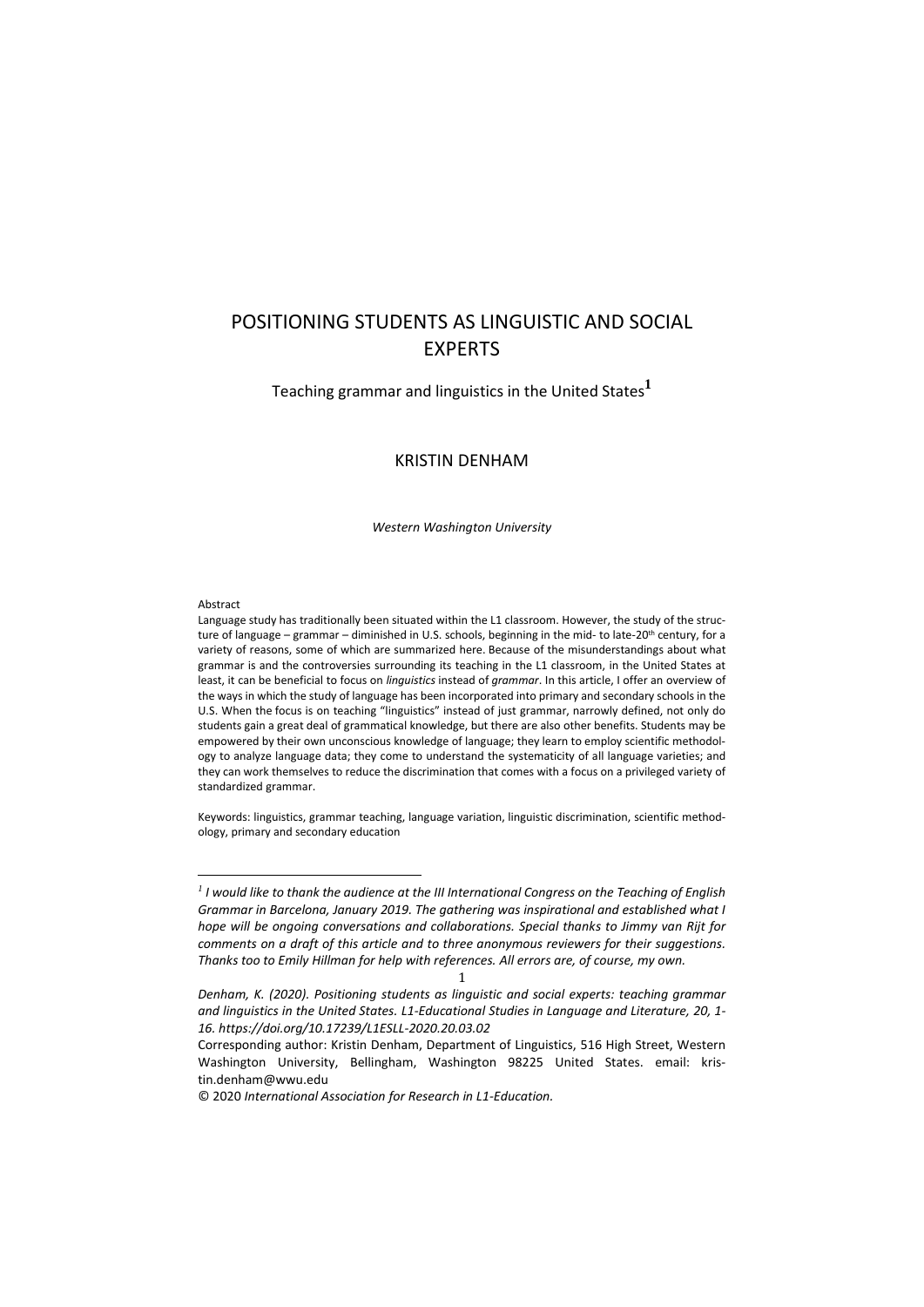# POSITIONING STUDENTS AS LINGUISTIC AND SOCIAL EXPERTS

Teaching grammar and linguistics in the United States**<sup>1</sup>**

# KRISTIN DENHAM

*Western Washington University*

#### Abstract

<u>.</u>

Language study has traditionally been situated within the L1 classroom. However, the study of the structure of language – grammar – diminished in U.S. schools, beginning in the mid- to late-20<sup>th</sup> century, for a variety of reasons, some of which are summarized here. Because of the misunderstandings about what grammar is and the controversies surrounding its teaching in the L1 classroom, in the United States at least, it can be beneficial to focus on *linguistics* instead of *grammar*. In this article, I offer an overview of the ways in which the study of language has been incorporated into primary and secondary schools in the U.S. When the focus is on teaching "linguistics" instead of just grammar, narrowly defined, not only do students gain a great deal of grammatical knowledge, but there are also other benefits. Students may be empowered by their own unconscious knowledge of language; they learn to employ scientific methodology to analyze language data; they come to understand the systematicity of all language varieties; and they can work themselves to reduce the discrimination that comes with a focus on a privileged variety of standardized grammar.

Keywords: linguistics, grammar teaching, language variation, linguistic discrimination, scientific methodology, primary and secondary education

1

*<sup>1</sup> I would like to thank the audience at the III International Congress on the Teaching of English Grammar in Barcelona, January 2019. The gathering was inspirational and established what I hope will be ongoing conversations and collaborations. Special thanks to Jimmy van Rijt for comments on a draft of this article and to three anonymous reviewers for their suggestions. Thanks too to Emily Hillman for help with references. All errors are, of course, my own.*

*Denham, K. (2020). Positioning students as linguistic and social experts: teaching grammar and linguistics in the United States. L1-Educational Studies in Language and Literature, 20, 1- 16. https://doi.org/10.17239/L1ESLL-2020.20.03.02*

Corresponding author: Kristin Denham, Department of Linguistics, 516 High Street, Western Washington University, Bellingham, Washington 98225 United States. email: kristin.denham@wwu.edu

<sup>© 2020</sup> *International Association for Research in L1-Education.*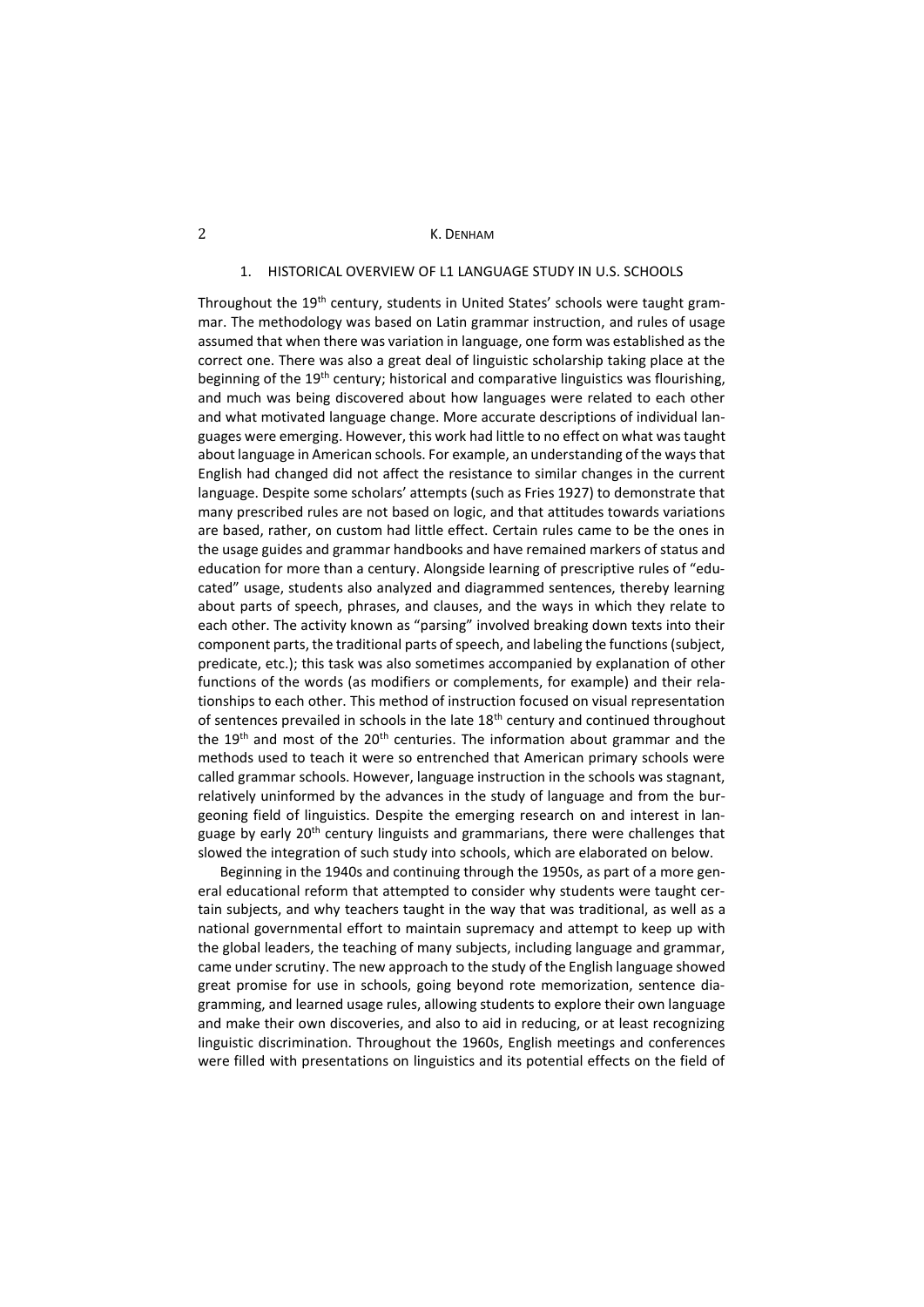# 1. HISTORICAL OVERVIEW OF L1 LANGUAGE STUDY IN U.S. SCHOOLS

Throughout the 19<sup>th</sup> century, students in United States' schools were taught grammar. The methodology was based on Latin grammar instruction, and rules of usage assumed that when there was variation in language, one form was established as the correct one. There was also a great deal of linguistic scholarship taking place at the beginning of the 19<sup>th</sup> century; historical and comparative linguistics was flourishing, and much was being discovered about how languages were related to each other and what motivated language change. More accurate descriptions of individual languages were emerging. However, this work had little to no effect on what was taught about language in American schools. For example, an understanding of the ways that English had changed did not affect the resistance to similar changes in the current language. Despite some scholars' attempts (such as Fries 1927) to demonstrate that many prescribed rules are not based on logic, and that attitudes towards variations are based, rather, on custom had little effect. Certain rules came to be the ones in the usage guides and grammar handbooks and have remained markers of status and education for more than a century. Alongside learning of prescriptive rules of "educated" usage, students also analyzed and diagrammed sentences, thereby learning about parts of speech, phrases, and clauses, and the ways in which they relate to each other. The activity known as "parsing" involved breaking down texts into their component parts, the traditional parts of speech, and labeling the functions (subject, predicate, etc.); this task was also sometimes accompanied by explanation of other functions of the words (as modifiers or complements, for example) and their relationships to each other. This method of instruction focused on visual representation of sentences prevailed in schools in the late  $18<sup>th</sup>$  century and continued throughout the 19<sup>th</sup> and most of the 20<sup>th</sup> centuries. The information about grammar and the methods used to teach it were so entrenched that American primary schools were called grammar schools. However, language instruction in the schools was stagnant, relatively uninformed by the advances in the study of language and from the burgeoning field of linguistics. Despite the emerging research on and interest in language by early 20<sup>th</sup> century linguists and grammarians, there were challenges that slowed the integration of such study into schools, which are elaborated on below.

Beginning in the 1940s and continuing through the 1950s, as part of a more general educational reform that attempted to consider why students were taught certain subjects, and why teachers taught in the way that was traditional, as well as a national governmental effort to maintain supremacy and attempt to keep up with the global leaders, the teaching of many subjects, including language and grammar, came under scrutiny. The new approach to the study of the English language showed great promise for use in schools, going beyond rote memorization, sentence diagramming, and learned usage rules, allowing students to explore their own language and make their own discoveries, and also to aid in reducing, or at least recognizing linguistic discrimination. Throughout the 1960s, English meetings and conferences were filled with presentations on linguistics and its potential effects on the field of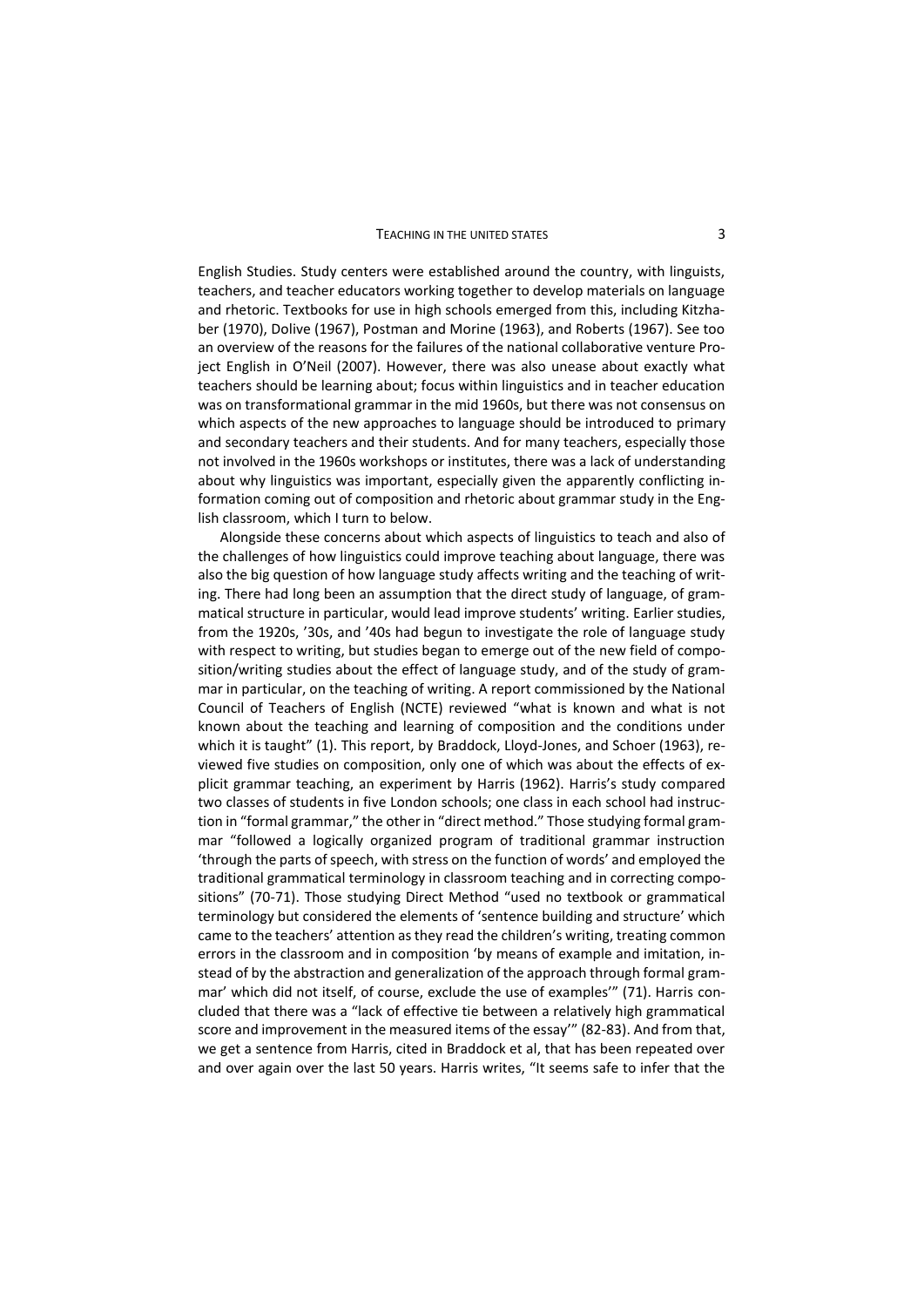#### TEACHING IN THE UNITED STATES 3

English Studies. Study centers were established around the country, with linguists, teachers, and teacher educators working together to develop materials on language and rhetoric. Textbooks for use in high schools emerged from this, including Kitzhaber (1970), Dolive (1967), Postman and Morine (1963), and Roberts (1967). See too an overview of the reasons for the failures of the national collaborative venture Project English in O'Neil (2007). However, there was also unease about exactly what teachers should be learning about; focus within linguistics and in teacher education was on transformational grammar in the mid 1960s, but there was not consensus on which aspects of the new approaches to language should be introduced to primary and secondary teachers and their students. And for many teachers, especially those not involved in the 1960s workshops or institutes, there was a lack of understanding about why linguistics was important, especially given the apparently conflicting information coming out of composition and rhetoric about grammar study in the English classroom, which I turn to below.

Alongside these concerns about which aspects of linguistics to teach and also of the challenges of how linguistics could improve teaching about language, there was also the big question of how language study affects writing and the teaching of writing. There had long been an assumption that the direct study of language, of grammatical structure in particular, would lead improve students' writing. Earlier studies, from the 1920s, '30s, and '40s had begun to investigate the role of language study with respect to writing, but studies began to emerge out of the new field of composition/writing studies about the effect of language study, and of the study of grammar in particular, on the teaching of writing. A report commissioned by the National Council of Teachers of English (NCTE) reviewed "what is known and what is not known about the teaching and learning of composition and the conditions under which it is taught" (1). This report, by Braddock, Lloyd-Jones, and Schoer (1963), reviewed five studies on composition, only one of which was about the effects of explicit grammar teaching, an experiment by Harris (1962). Harris's study compared two classes of students in five London schools; one class in each school had instruction in "formal grammar," the other in "direct method." Those studying formal grammar "followed a logically organized program of traditional grammar instruction 'through the parts of speech, with stress on the function of words' and employed the traditional grammatical terminology in classroom teaching and in correcting compositions" (70-71). Those studying Direct Method "used no textbook or grammatical terminology but considered the elements of 'sentence building and structure' which came to the teachers' attention as they read the children's writing, treating common errors in the classroom and in composition 'by means of example and imitation, instead of by the abstraction and generalization of the approach through formal grammar' which did not itself, of course, exclude the use of examples'" (71). Harris concluded that there was a "lack of effective tie between a relatively high grammatical score and improvement in the measured items of the essay'" (82-83). And from that, we get a sentence from Harris, cited in Braddock et al, that has been repeated over and over again over the last 50 years. Harris writes, "It seems safe to infer that the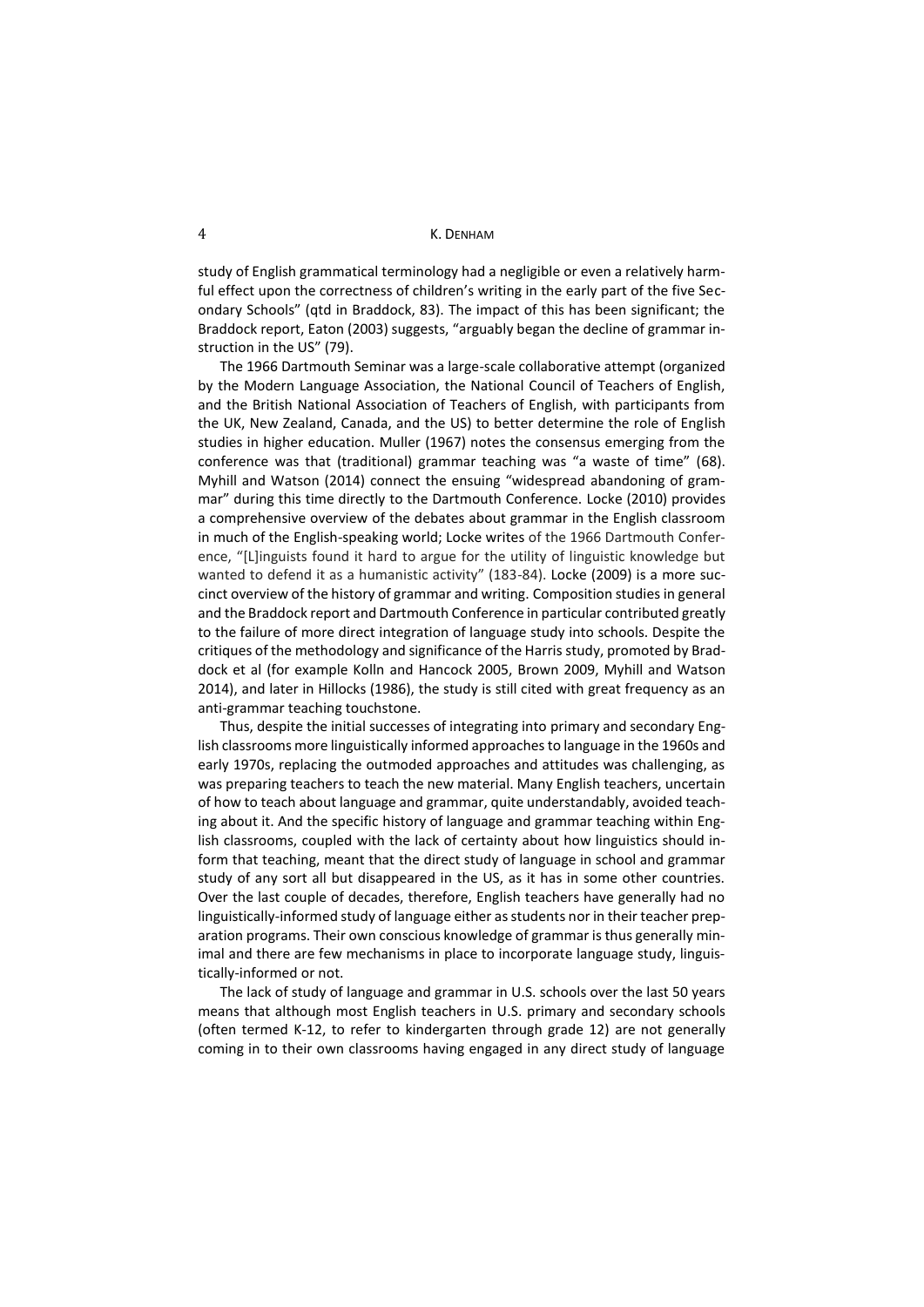study of English grammatical terminology had a negligible or even a relatively harmful effect upon the correctness of children's writing in the early part of the five Secondary Schools" (qtd in Braddock, 83). The impact of this has been significant; the Braddock report, Eaton (2003) suggests, "arguably began the decline of grammar instruction in the US" (79).

The 1966 Dartmouth Seminar was a large-scale collaborative attempt (organized by the Modern Language Association, the National Council of Teachers of English, and the British National Association of Teachers of English, with participants from the UK, New Zealand, Canada, and the US) to better determine the role of English studies in higher education. Muller (1967) notes the consensus emerging from the conference was that (traditional) grammar teaching was "a waste of time" (68). Myhill and Watson (2014) connect the ensuing "widespread abandoning of grammar" during this time directly to the Dartmouth Conference. Locke (2010) provides a comprehensive overview of the debates about grammar in the English classroom in much of the English-speaking world; Locke writes of the 1966 Dartmouth Conference, "[L]inguists found it hard to argue for the utility of linguistic knowledge but wanted to defend it as a humanistic activity" (183-84). Locke (2009) is a more succinct overview of the history of grammar and writing. Composition studies in general and the Braddock report and Dartmouth Conference in particular contributed greatly to the failure of more direct integration of language study into schools. Despite the critiques of the methodology and significance of the Harris study, promoted by Braddock et al (for example Kolln and Hancock 2005, Brown 2009, Myhill and Watson 2014), and later in Hillocks (1986), the study is still cited with great frequency as an anti-grammar teaching touchstone.

Thus, despite the initial successes of integrating into primary and secondary English classrooms more linguistically informed approaches to language in the 1960s and early 1970s, replacing the outmoded approaches and attitudes was challenging, as was preparing teachers to teach the new material. Many English teachers, uncertain of how to teach about language and grammar, quite understandably, avoided teaching about it. And the specific history of language and grammar teaching within English classrooms, coupled with the lack of certainty about how linguistics should inform that teaching, meant that the direct study of language in school and grammar study of any sort all but disappeared in the US, as it has in some other countries. Over the last couple of decades, therefore, English teachers have generally had no linguistically-informed study of language either as students nor in their teacher preparation programs. Their own conscious knowledge of grammar is thus generally minimal and there are few mechanisms in place to incorporate language study, linguistically-informed or not.

The lack of study of language and grammar in U.S. schools over the last 50 years means that although most English teachers in U.S. primary and secondary schools (often termed K-12, to refer to kindergarten through grade 12) are not generally coming in to their own classrooms having engaged in any direct study of language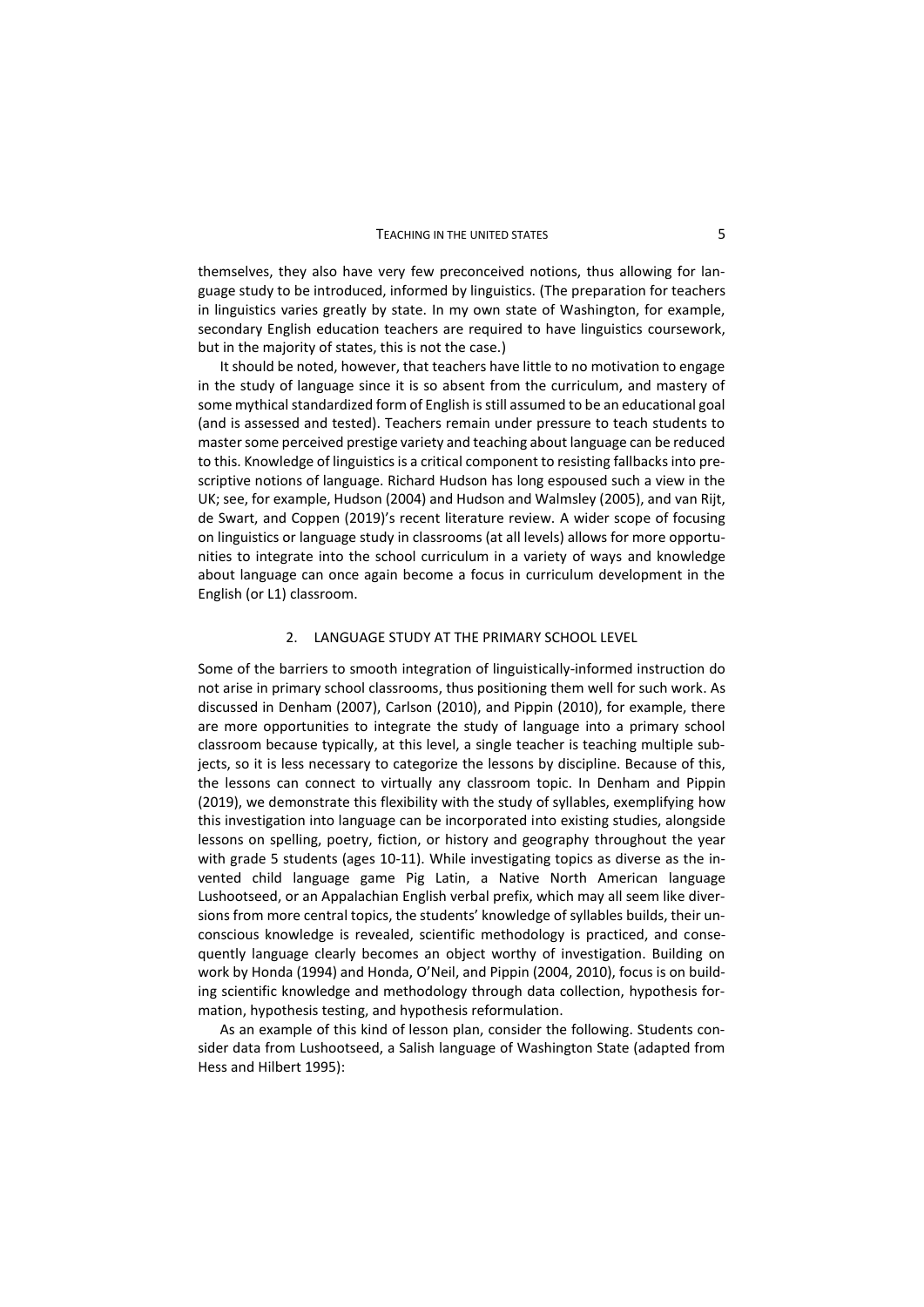themselves, they also have very few preconceived notions, thus allowing for language study to be introduced, informed by linguistics. (The preparation for teachers in linguistics varies greatly by state. In my own state of Washington, for example, secondary English education teachers are required to have linguistics coursework, but in the majority of states, this is not the case.)

It should be noted, however, that teachers have little to no motivation to engage in the study of language since it is so absent from the curriculum, and mastery of some mythical standardized form of English is still assumed to be an educational goal (and is assessed and tested). Teachers remain under pressure to teach students to master some perceived prestige variety and teaching about language can be reduced to this. Knowledge of linguistics is a critical component to resisting fallbacks into prescriptive notions of language. Richard Hudson has long espoused such a view in the UK; see, for example, Hudson (2004) and Hudson and Walmsley (2005), and van Rijt, de Swart, and Coppen (2019)'s recent literature review. A wider scope of focusing on linguistics or language study in classrooms (at all levels) allows for more opportunities to integrate into the school curriculum in a variety of ways and knowledge about language can once again become a focus in curriculum development in the English (or L1) classroom.

# 2. LANGUAGE STUDY AT THE PRIMARY SCHOOL LEVEL

Some of the barriers to smooth integration of linguistically-informed instruction do not arise in primary school classrooms, thus positioning them well for such work. As discussed in Denham (2007), Carlson (2010), and Pippin (2010), for example, there are more opportunities to integrate the study of language into a primary school classroom because typically, at this level, a single teacher is teaching multiple subjects, so it is less necessary to categorize the lessons by discipline. Because of this, the lessons can connect to virtually any classroom topic. In Denham and Pippin (2019), we demonstrate this flexibility with the study of syllables, exemplifying how this investigation into language can be incorporated into existing studies, alongside lessons on spelling, poetry, fiction, or history and geography throughout the year with grade 5 students (ages 10-11). While investigating topics as diverse as the invented child language game Pig Latin, a Native North American language Lushootseed, or an Appalachian English verbal prefix, which may all seem like diversions from more central topics, the students' knowledge of syllables builds, their unconscious knowledge is revealed, scientific methodology is practiced, and consequently language clearly becomes an object worthy of investigation. Building on work by Honda (1994) and Honda, O'Neil, and Pippin (2004, 2010), focus is on building scientific knowledge and methodology through data collection, hypothesis formation, hypothesis testing, and hypothesis reformulation.

As an example of this kind of lesson plan, consider the following. Students consider data from Lushootseed, a Salish language of Washington State (adapted from Hess and Hilbert 1995):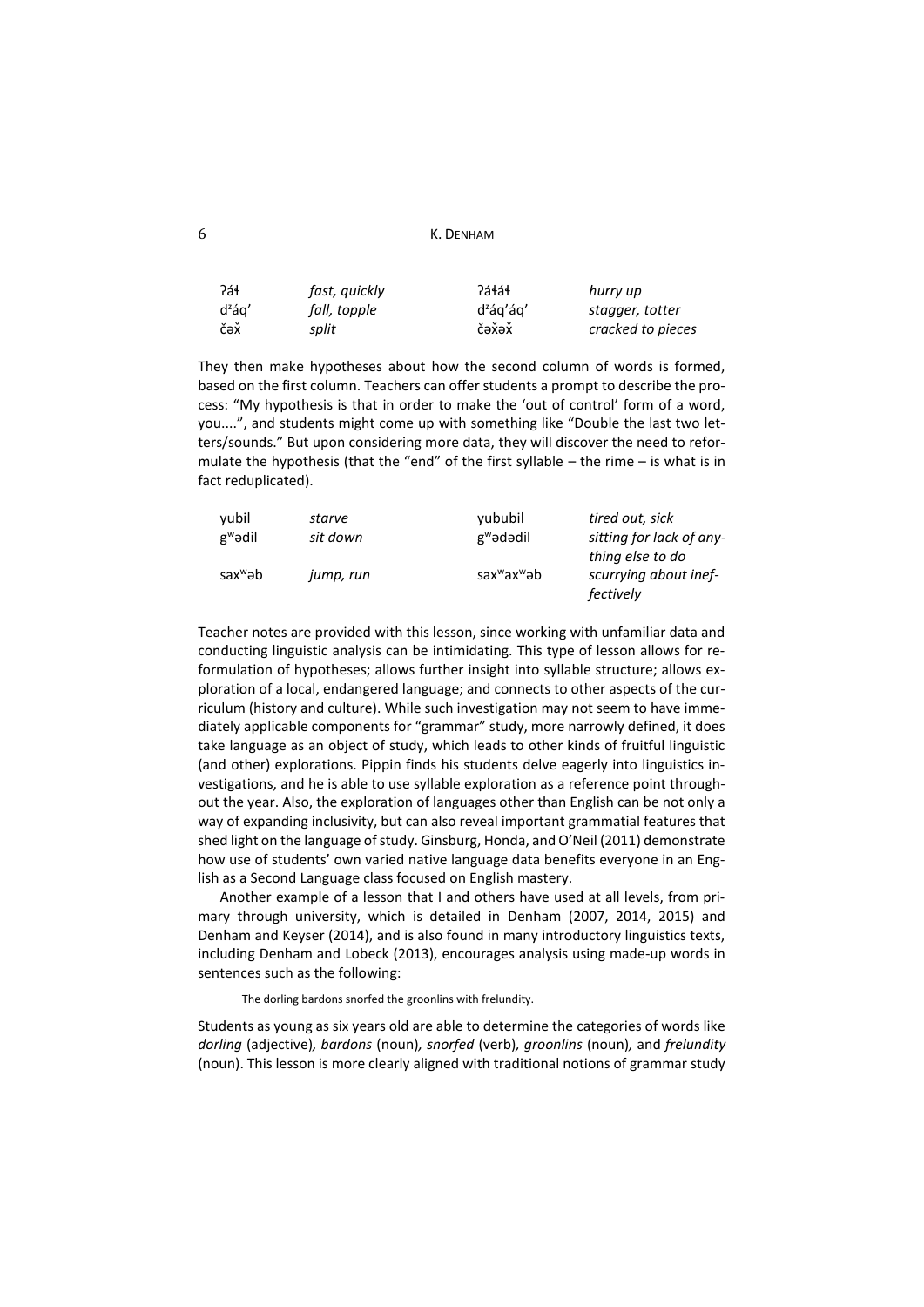```
6 K. DENHAM
```

| ?áł       | fast, quickly | ?áɬáɬ                 | hurry up          |
|-----------|---------------|-----------------------|-------------------|
| $d^z$ ág' | fall, topple  | d <sup>z</sup> ág'ág' | stagger, totter   |
| čəž       | split         | čəžəž                 | cracked to pieces |

They then make hypotheses about how the second column of words is formed, based on the first column. Teachers can offer students a prompt to describe the process: "My hypothesis is that in order to make the 'out of control' form of a word, you....", and students might come up with something like "Double the last two letters/sounds." But upon considering more data, they will discover the need to reformulate the hypothesis (that the "end" of the first syllable – the rime – is what is in fact reduplicated).

| vubil               | starve    | yububil                             | tired out, sick          |
|---------------------|-----------|-------------------------------------|--------------------------|
| $g^w$ ədil          | sit down  | g <sup>w</sup> ədədil               | sitting for lack of any- |
|                     |           |                                     | thing else to do         |
| sax <sup>w</sup> əb | jump, run | sax <sup>w</sup> ax <sup>w</sup> ab | scurrying about inef-    |
|                     |           |                                     | fectively                |

Teacher notes are provided with this lesson, since working with unfamiliar data and conducting linguistic analysis can be intimidating. This type of lesson allows for reformulation of hypotheses; allows further insight into syllable structure; allows exploration of a local, endangered language; and connects to other aspects of the curriculum (history and culture). While such investigation may not seem to have immediately applicable components for "grammar" study, more narrowly defined, it does take language as an object of study, which leads to other kinds of fruitful linguistic (and other) explorations. Pippin finds his students delve eagerly into linguistics investigations, and he is able to use syllable exploration as a reference point throughout the year. Also, the exploration of languages other than English can be not only a way of expanding inclusivity, but can also reveal important grammatial features that shed light on the language of study. Ginsburg, Honda, and O'Neil (2011) demonstrate how use of students' own varied native language data benefits everyone in an English as a Second Language class focused on English mastery.

Another example of a lesson that I and others have used at all levels, from primary through university, which is detailed in Denham (2007, 2014, 2015) and Denham and Keyser (2014), and is also found in many introductory linguistics texts, including Denham and Lobeck (2013), encourages analysis using made-up words in sentences such as the following:

The dorling bardons snorfed the groonlins with frelundity.

Students as young as six years old are able to determine the categories of words like *dorling* (adjective)*, bardons* (noun)*, snorfed* (verb)*, groonlins* (noun)*,* and *frelundity*  (noun). This lesson is more clearly aligned with traditional notions of grammar study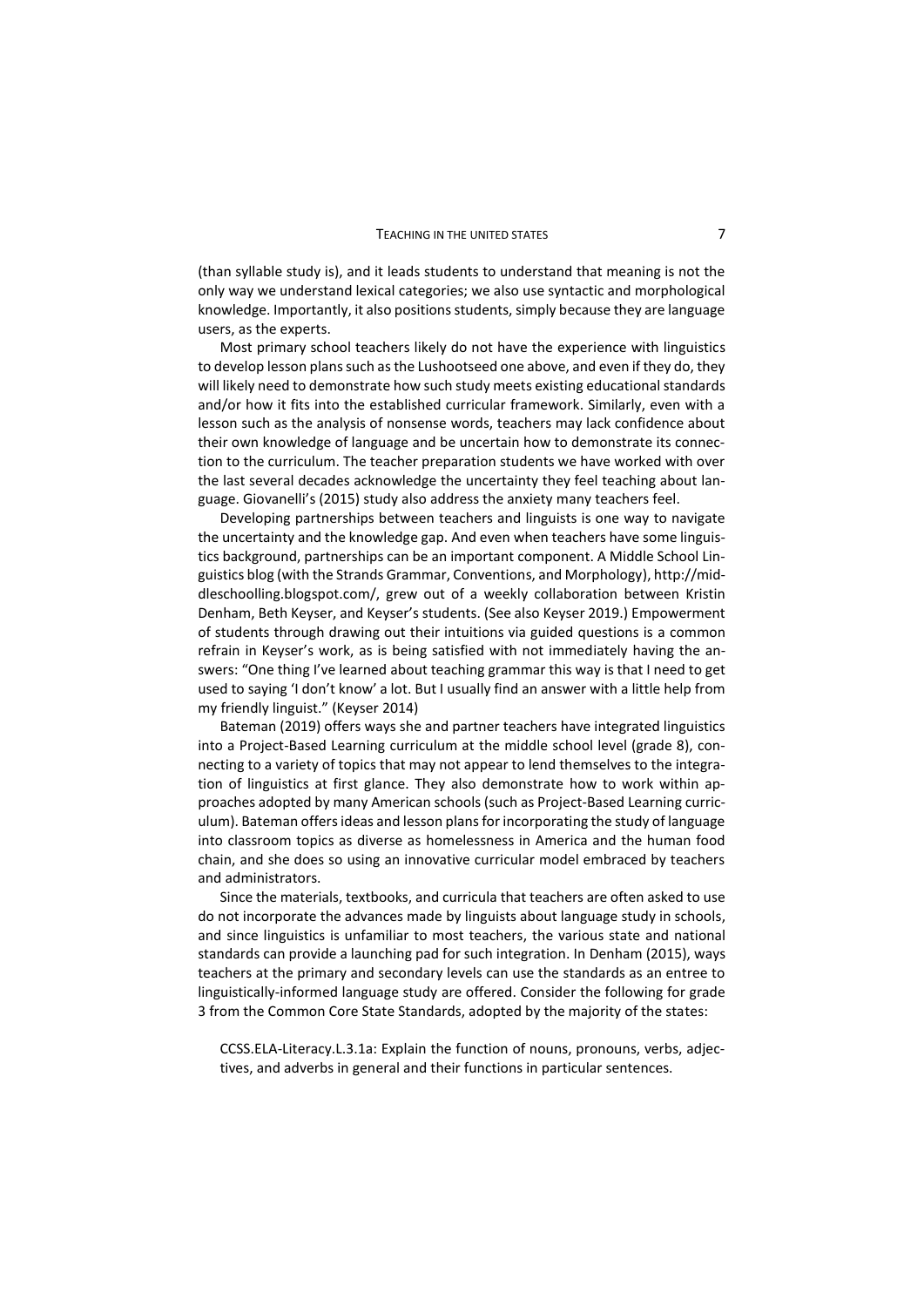(than syllable study is), and it leads students to understand that meaning is not the only way we understand lexical categories; we also use syntactic and morphological knowledge. Importantly, it also positions students, simply because they are language users, as the experts.

Most primary school teachers likely do not have the experience with linguistics to develop lesson plans such as the Lushootseed one above, and even if they do, they will likely need to demonstrate how such study meets existing educational standards and/or how it fits into the established curricular framework. Similarly, even with a lesson such as the analysis of nonsense words, teachers may lack confidence about their own knowledge of language and be uncertain how to demonstrate its connection to the curriculum. The teacher preparation students we have worked with over the last several decades acknowledge the uncertainty they feel teaching about language. Giovanelli's (2015) study also address the anxiety many teachers feel.

Developing partnerships between teachers and linguists is one way to navigate the uncertainty and the knowledge gap. And even when teachers have some linguistics background, partnerships can be an important component. A Middle School Linguistics blog (with the Strands Grammar, Conventions, and Morphology), http://middleschoolling.blogspot.com/, grew out of a weekly collaboration between Kristin Denham, Beth Keyser, and Keyser's students. (See also Keyser 2019.) Empowerment of students through drawing out their intuitions via guided questions is a common refrain in Keyser's work, as is being satisfied with not immediately having the answers: "One thing I've learned about teaching grammar this way is that I need to get used to saying 'I don't know' a lot. But I usually find an answer with a little help from my friendly linguist." (Keyser 2014)

Bateman (2019) offers ways she and partner teachers have integrated linguistics into a Project-Based Learning curriculum at the middle school level (grade 8), connecting to a variety of topics that may not appear to lend themselves to the integration of linguistics at first glance. They also demonstrate how to work within approaches adopted by many American schools (such as Project-Based Learning curriculum). Bateman offers ideas and lesson plans for incorporating the study of language into classroom topics as diverse as homelessness in America and the human food chain, and she does so using an innovative curricular model embraced by teachers and administrators.

Since the materials, textbooks, and curricula that teachers are often asked to use do not incorporate the advances made by linguists about language study in schools, and since linguistics is unfamiliar to most teachers, the various state and national standards can provide a launching pad for such integration. In Denham (2015), ways teachers at the primary and secondary levels can use the standards as an entree to linguistically-informed language study are offered. Consider the following for grade 3 from the Common Core State Standards, adopted by the majority of the states:

CCSS.ELA-Literacy.L.3.1a: Explain the function of nouns, pronouns, verbs, adjectives, and adverbs in general and their functions in particular sentences.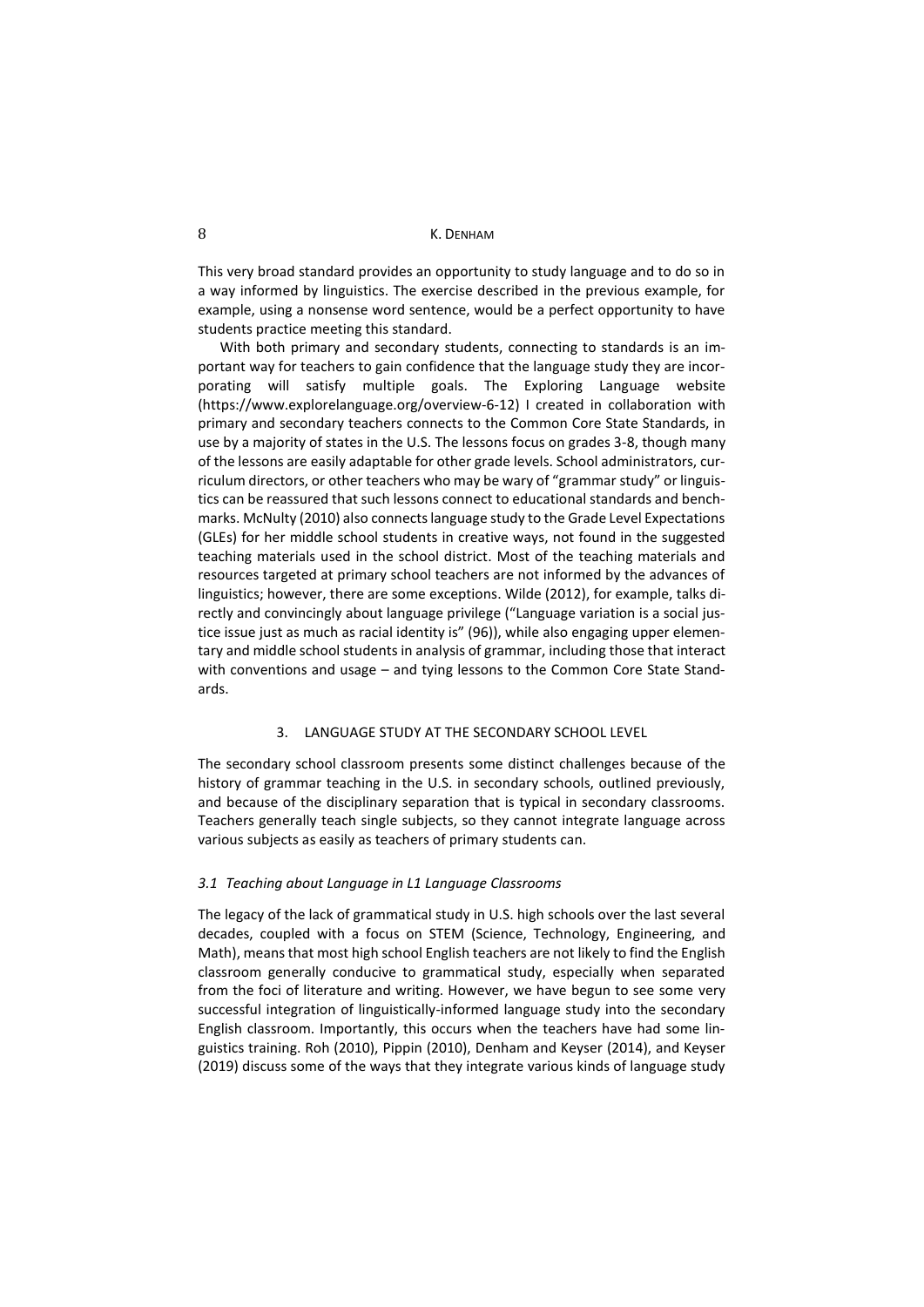This very broad standard provides an opportunity to study language and to do so in a way informed by linguistics. The exercise described in the previous example, for example, using a nonsense word sentence, would be a perfect opportunity to have students practice meeting this standard.

With both primary and secondary students, connecting to standards is an important way for teachers to gain confidence that the language study they are incorporating will satisfy multiple goals. The Exploring Language website (https://www.explorelanguage.org/overview-6-12) I created in collaboration with primary and secondary teachers connects to the Common Core State Standards, in use by a majority of states in the U.S. The lessons focus on grades 3-8, though many of the lessons are easily adaptable for other grade levels. School administrators, curriculum directors, or other teachers who may be wary of "grammar study" or linguistics can be reassured that such lessons connect to educational standards and benchmarks. McNulty (2010) also connects language study to the Grade Level Expectations (GLEs) for her middle school students in creative ways, not found in the suggested teaching materials used in the school district. Most of the teaching materials and resources targeted at primary school teachers are not informed by the advances of linguistics; however, there are some exceptions. Wilde (2012), for example, talks directly and convincingly about language privilege ("Language variation is a social justice issue just as much as racial identity is" (96)), while also engaging upper elementary and middle school students in analysis of grammar, including those that interact with conventions and usage – and tying lessons to the Common Core State Standards.

### 3. LANGUAGE STUDY AT THE SECONDARY SCHOOL LEVEL

The secondary school classroom presents some distinct challenges because of the history of grammar teaching in the U.S. in secondary schools, outlined previously, and because of the disciplinary separation that is typical in secondary classrooms. Teachers generally teach single subjects, so they cannot integrate language across various subjects as easily as teachers of primary students can.

## *3.1 Teaching about Language in L1 Language Classrooms*

The legacy of the lack of grammatical study in U.S. high schools over the last several decades, coupled with a focus on STEM (Science, Technology, Engineering, and Math), means that most high school English teachers are not likely to find the English classroom generally conducive to grammatical study, especially when separated from the foci of literature and writing. However, we have begun to see some very successful integration of linguistically-informed language study into the secondary English classroom. Importantly, this occurs when the teachers have had some linguistics training. Roh (2010), Pippin (2010), Denham and Keyser (2014), and Keyser (2019) discuss some of the ways that they integrate various kinds of language study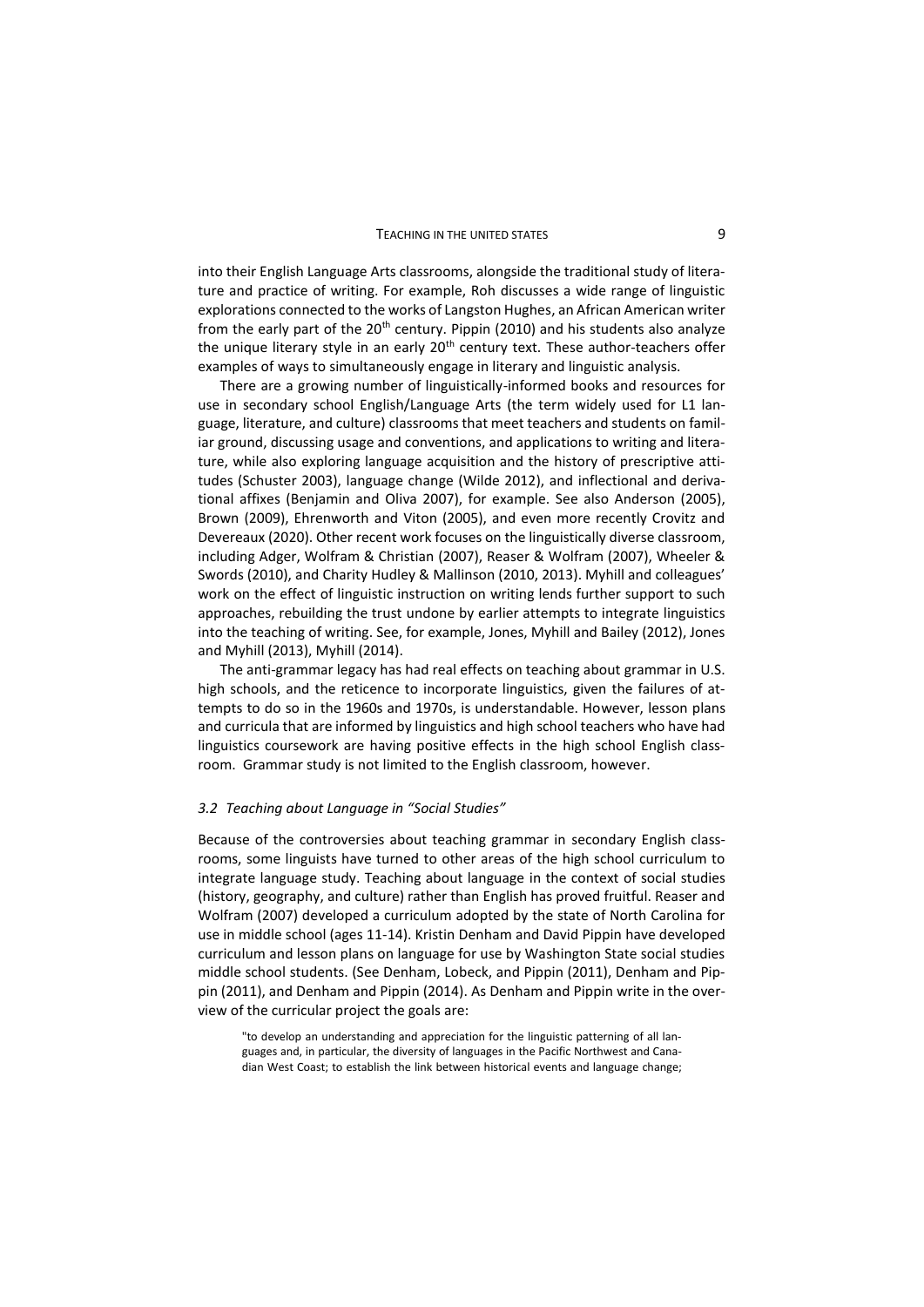#### TEACHING IN THE UNITED STATES **19 ACCEPTS** 3

into their English Language Arts classrooms, alongside the traditional study of literature and practice of writing. For example, Roh discusses a wide range of linguistic explorations connected to the works of Langston Hughes, an African American writer from the early part of the  $20<sup>th</sup>$  century. Pippin (2010) and his students also analyze the unique literary style in an early 20<sup>th</sup> century text. These author-teachers offer examples of ways to simultaneously engage in literary and linguistic analysis.

There are a growing number of linguistically-informed books and resources for use in secondary school English/Language Arts (the term widely used for L1 language, literature, and culture) classrooms that meet teachers and students on familiar ground, discussing usage and conventions, and applications to writing and literature, while also exploring language acquisition and the history of prescriptive attitudes (Schuster 2003), language change (Wilde 2012), and inflectional and derivational affixes (Benjamin and Oliva 2007), for example. See also Anderson (2005), Brown (2009), Ehrenworth and Viton (2005), and even more recently Crovitz and Devereaux (2020). Other recent work focuses on the linguistically diverse classroom, including Adger, Wolfram & Christian (2007), Reaser & Wolfram (2007), Wheeler & Swords (2010), and Charity Hudley & Mallinson (2010, 2013). Myhill and colleagues' work on the effect of linguistic instruction on writing lends further support to such approaches, rebuilding the trust undone by earlier attempts to integrate linguistics into the teaching of writing. See, for example, Jones, Myhill and Bailey (2012), Jones and Myhill (2013), Myhill (2014).

The anti-grammar legacy has had real effects on teaching about grammar in U.S. high schools, and the reticence to incorporate linguistics, given the failures of attempts to do so in the 1960s and 1970s, is understandable. However, lesson plans and curricula that are informed by linguistics and high school teachers who have had linguistics coursework are having positive effects in the high school English classroom. Grammar study is not limited to the English classroom, however.

#### *3.2 Teaching about Language in "Social Studies"*

Because of the controversies about teaching grammar in secondary English classrooms, some linguists have turned to other areas of the high school curriculum to integrate language study. Teaching about language in the context of social studies (history, geography, and culture) rather than English has proved fruitful. Reaser and Wolfram (2007) developed a curriculum adopted by the state of North Carolina for use in middle school (ages 11-14). Kristin Denham and David Pippin have developed curriculum and lesson plans on language for use by Washington State social studies middle school students. (See Denham, Lobeck, and Pippin (2011), Denham and Pippin (2011), and Denham and Pippin (2014). As Denham and Pippin write in the overview of the curricular project the goals are:

"to develop an understanding and appreciation for the linguistic patterning of all languages and, in particular, the diversity of languages in the Pacific Northwest and Canadian West Coast; to establish the link between historical events and language change;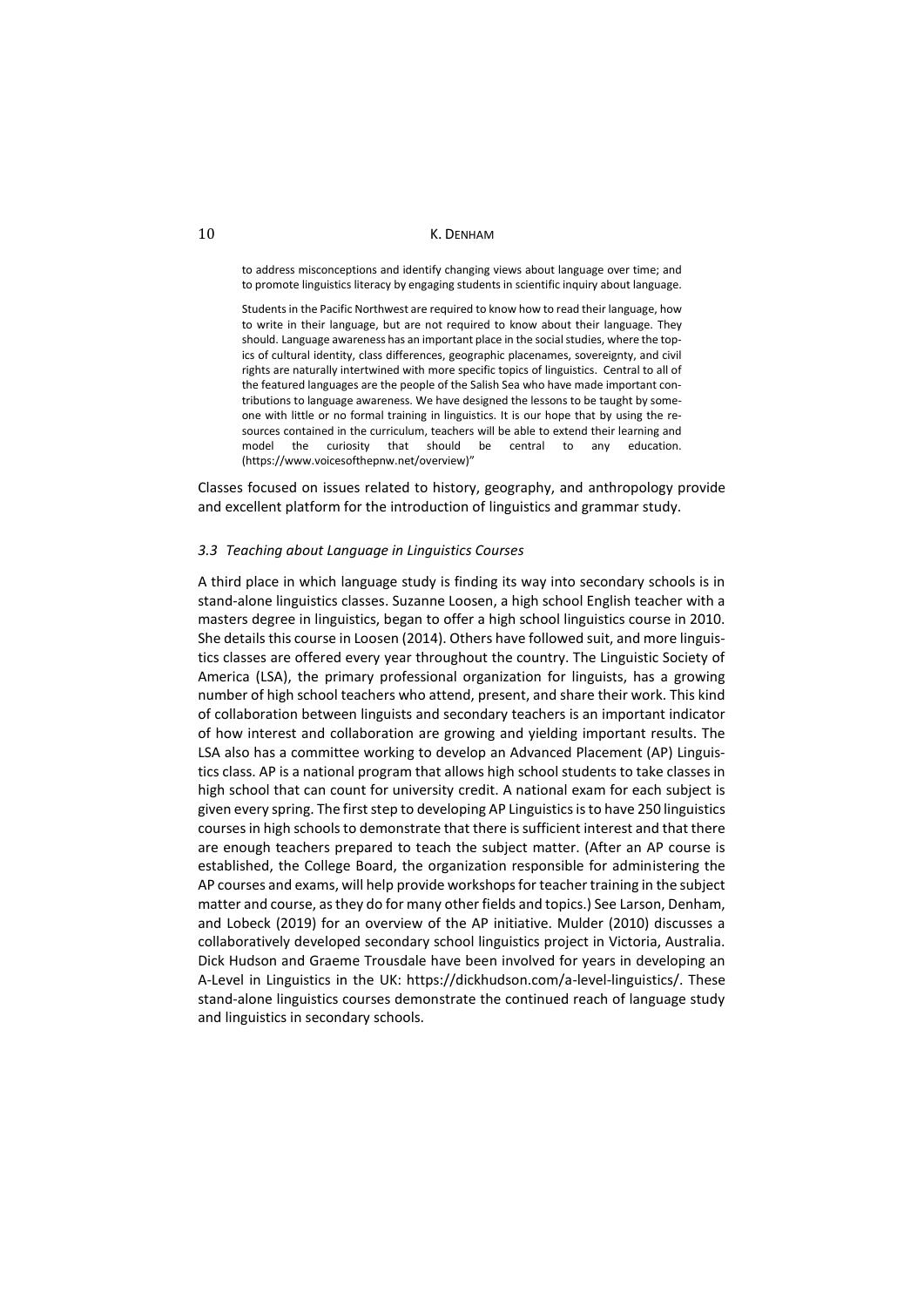to address misconceptions and identify changing views about language over time; and to promote linguistics literacy by engaging students in scientific inquiry about language.

Studentsin the Pacific Northwest are required to know how to read their language, how to write in their language, but are not required to know about their language. They should. Language awareness has an important place in the social studies, where the topics of cultural identity, class differences, geographic placenames, sovereignty, and civil rights are naturally intertwined with more specific topics of linguistics. Central to all of the featured languages are the people of the Salish Sea who have made important contributions to language awareness. We have designed the lessons to be taught by someone with little or no formal training in linguistics. It is our hope that by using the resources contained in the curriculum, teachers will be able to extend their learning and model the curiosity that should be central to any education. (https://www.voicesofthepnw.net/overview)"

Classes focused on issues related to history, geography, and anthropology provide and excellent platform for the introduction of linguistics and grammar study.

# *3.3 Teaching about Language in Linguistics Courses*

A third place in which language study is finding its way into secondary schools is in stand-alone linguistics classes. Suzanne Loosen, a high school English teacher with a masters degree in linguistics, began to offer a high school linguistics course in 2010. She details this course in Loosen (2014). Others have followed suit, and more linguistics classes are offered every year throughout the country. The Linguistic Society of America (LSA), the primary professional organization for linguists, has a growing number of high school teachers who attend, present, and share their work. This kind of collaboration between linguists and secondary teachers is an important indicator of how interest and collaboration are growing and yielding important results. The LSA also has a committee working to develop an Advanced Placement (AP) Linguistics class. AP is a national program that allows high school students to take classes in high school that can count for university credit. A national exam for each subject is given every spring. The first step to developing AP Linguistics is to have 250 linguistics courses in high schools to demonstrate that there is sufficient interest and that there are enough teachers prepared to teach the subject matter. (After an AP course is established, the College Board, the organization responsible for administering the AP courses and exams, will help provide workshops for teacher training in the subject matter and course, as they do for many other fields and topics.) See Larson, Denham, and Lobeck (2019) for an overview of the AP initiative. Mulder (2010) discusses a collaboratively developed secondary school linguistics project in Victoria, Australia. Dick Hudson and Graeme Trousdale have been involved for years in developing an A-Level in Linguistics in the UK: https://dickhudson.com/a-level-linguistics/. These stand-alone linguistics courses demonstrate the continued reach of language study and linguistics in secondary schools.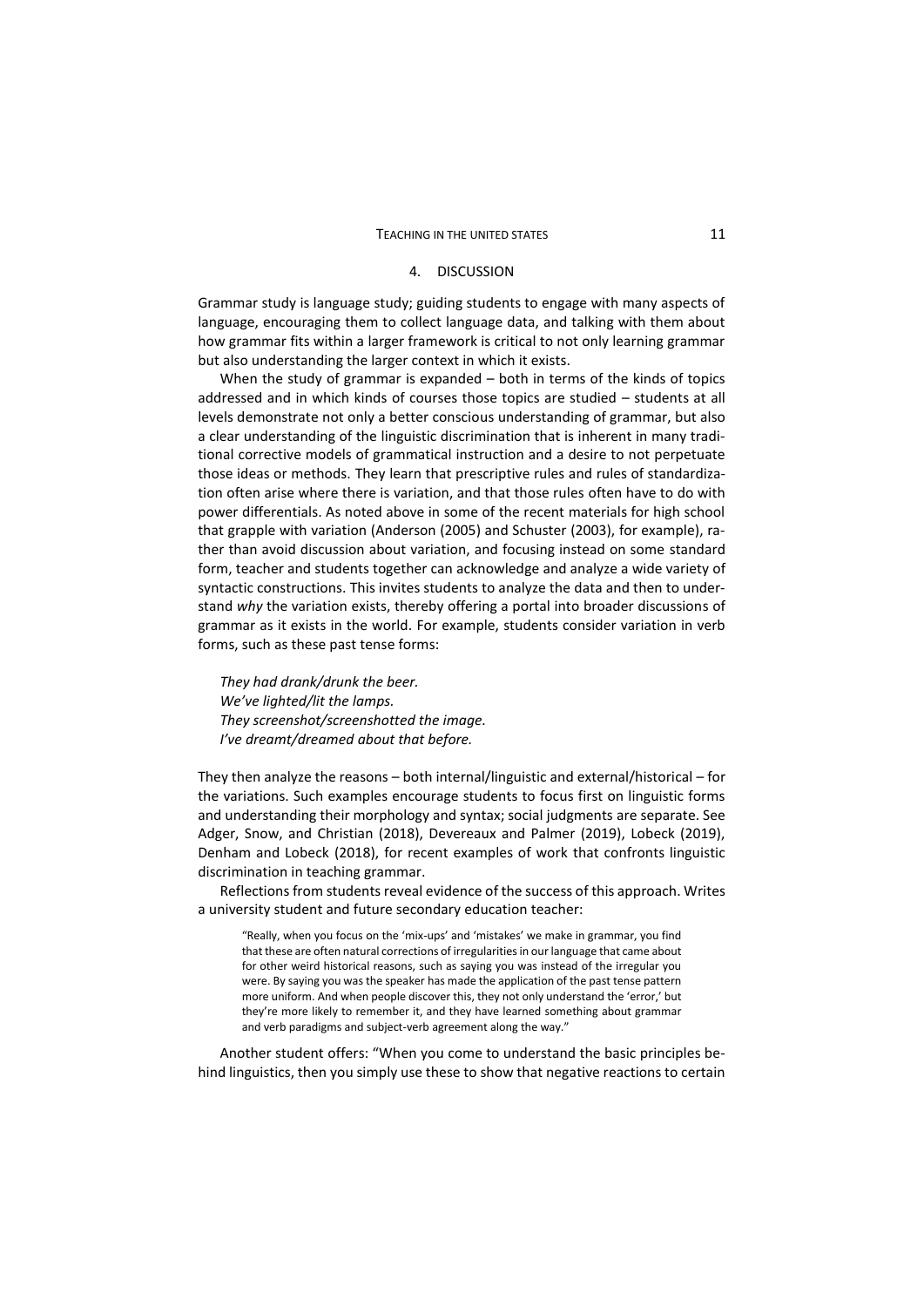#### 4. DISCUSSION

Grammar study is language study; guiding students to engage with many aspects of language, encouraging them to collect language data, and talking with them about how grammar fits within a larger framework is critical to not only learning grammar but also understanding the larger context in which it exists.

When the study of grammar is expanded – both in terms of the kinds of topics addressed and in which kinds of courses those topics are studied – students at all levels demonstrate not only a better conscious understanding of grammar, but also a clear understanding of the linguistic discrimination that is inherent in many traditional corrective models of grammatical instruction and a desire to not perpetuate those ideas or methods. They learn that prescriptive rules and rules of standardization often arise where there is variation, and that those rules often have to do with power differentials. As noted above in some of the recent materials for high school that grapple with variation (Anderson (2005) and Schuster (2003), for example), rather than avoid discussion about variation, and focusing instead on some standard form, teacher and students together can acknowledge and analyze a wide variety of syntactic constructions. This invites students to analyze the data and then to understand *why* the variation exists, thereby offering a portal into broader discussions of grammar as it exists in the world. For example, students consider variation in verb forms, such as these past tense forms:

*They had drank/drunk the beer. We've lighted/lit the lamps. They screenshot/screenshotted the image. I've dreamt/dreamed about that before.*

They then analyze the reasons – both internal/linguistic and external/historical – for the variations. Such examples encourage students to focus first on linguistic forms and understanding their morphology and syntax; social judgments are separate. See Adger, Snow, and Christian (2018), Devereaux and Palmer (2019), Lobeck (2019), Denham and Lobeck (2018), for recent examples of work that confronts linguistic discrimination in teaching grammar.

Reflections from students reveal evidence of the success of this approach. Writes a university student and future secondary education teacher:

"Really, when you focus on the 'mix-ups' and 'mistakes' we make in grammar, you find that these are often natural corrections of irregularities in our language that came about for other weird historical reasons, such as saying you was instead of the irregular you were. By saying you was the speaker has made the application of the past tense pattern more uniform. And when people discover this, they not only understand the 'error,' but they're more likely to remember it, and they have learned something about grammar and verb paradigms and subject-verb agreement along the way."

Another student offers: "When you come to understand the basic principles behind linguistics, then you simply use these to show that negative reactions to certain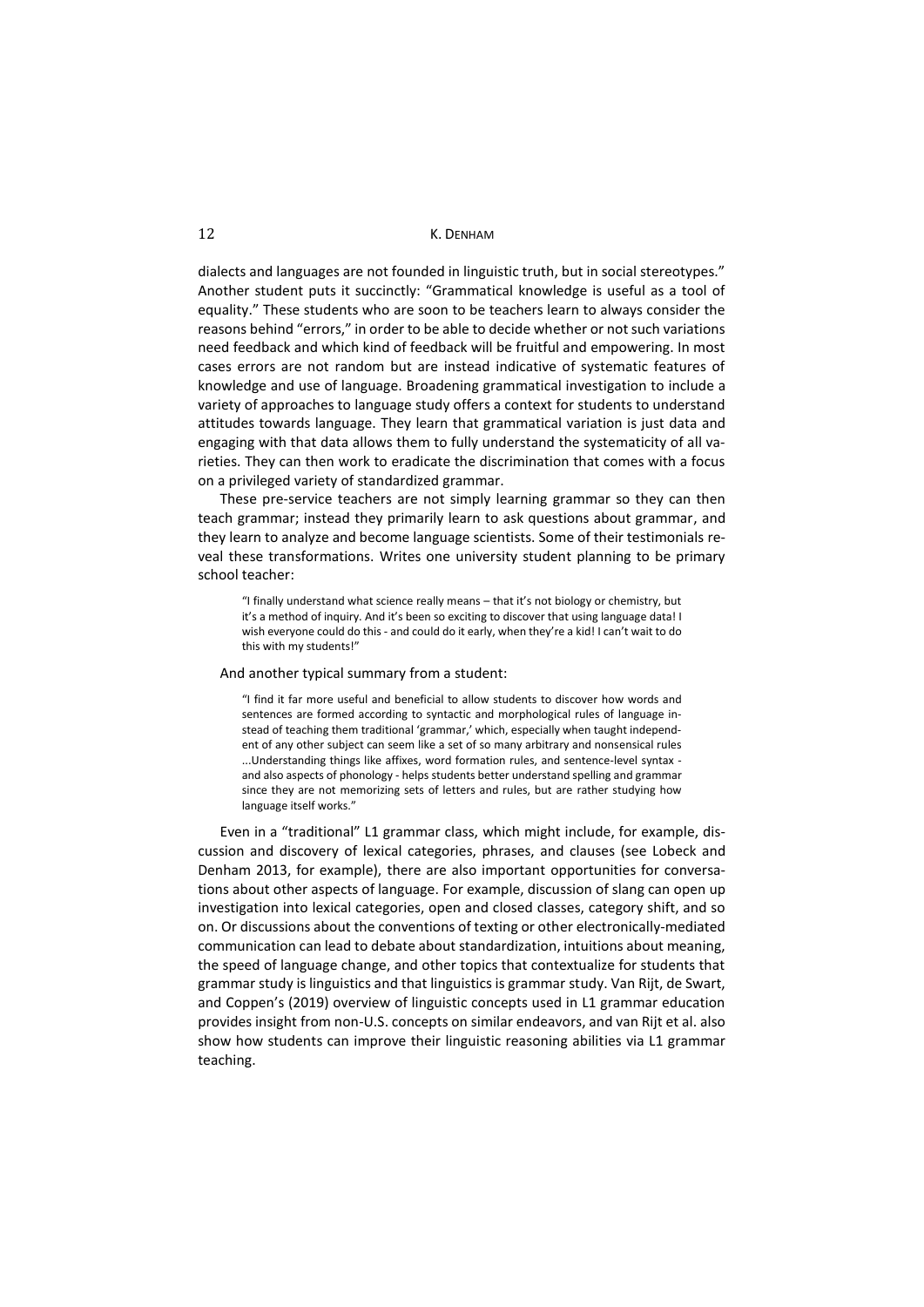dialects and languages are not founded in linguistic truth, but in social stereotypes." Another student puts it succinctly: "Grammatical knowledge is useful as a tool of equality." These students who are soon to be teachers learn to always consider the reasons behind "errors," in order to be able to decide whether or not such variations need feedback and which kind of feedback will be fruitful and empowering. In most cases errors are not random but are instead indicative of systematic features of knowledge and use of language. Broadening grammatical investigation to include a variety of approaches to language study offers a context for students to understand attitudes towards language. They learn that grammatical variation is just data and engaging with that data allows them to fully understand the systematicity of all varieties. They can then work to eradicate the discrimination that comes with a focus on a privileged variety of standardized grammar.

These pre-service teachers are not simply learning grammar so they can then teach grammar; instead they primarily learn to ask questions about grammar, and they learn to analyze and become language scientists. Some of their testimonials reveal these transformations. Writes one university student planning to be primary school teacher:

"I finally understand what science really means – that it's not biology or chemistry, but it's a method of inquiry. And it's been so exciting to discover that using language data! I wish everyone could do this - and could do it early, when they're a kid! I can't wait to do this with my students!"

#### And another typical summary from a student:

"I find it far more useful and beneficial to allow students to discover how words and sentences are formed according to syntactic and morphological rules of language instead of teaching them traditional 'grammar,' which, especially when taught independent of any other subject can seem like a set of so many arbitrary and nonsensical rules ...Understanding things like affixes, word formation rules, and sentence-level syntax and also aspects of phonology - helps students better understand spelling and grammar since they are not memorizing sets of letters and rules, but are rather studying how language itself works."

Even in a "traditional" L1 grammar class, which might include, for example, discussion and discovery of lexical categories, phrases, and clauses (see Lobeck and Denham 2013, for example), there are also important opportunities for conversations about other aspects of language. For example, discussion of slang can open up investigation into lexical categories, open and closed classes, category shift, and so on. Or discussions about the conventions of texting or other electronically-mediated communication can lead to debate about standardization, intuitions about meaning, the speed of language change, and other topics that contextualize for students that grammar study is linguistics and that linguistics is grammar study. Van Rijt, de Swart, and Coppen's (2019) overview of linguistic concepts used in L1 grammar education provides insight from non-U.S. concepts on similar endeavors, and van Rijt et al. also show how students can improve their linguistic reasoning abilities via L1 grammar teaching.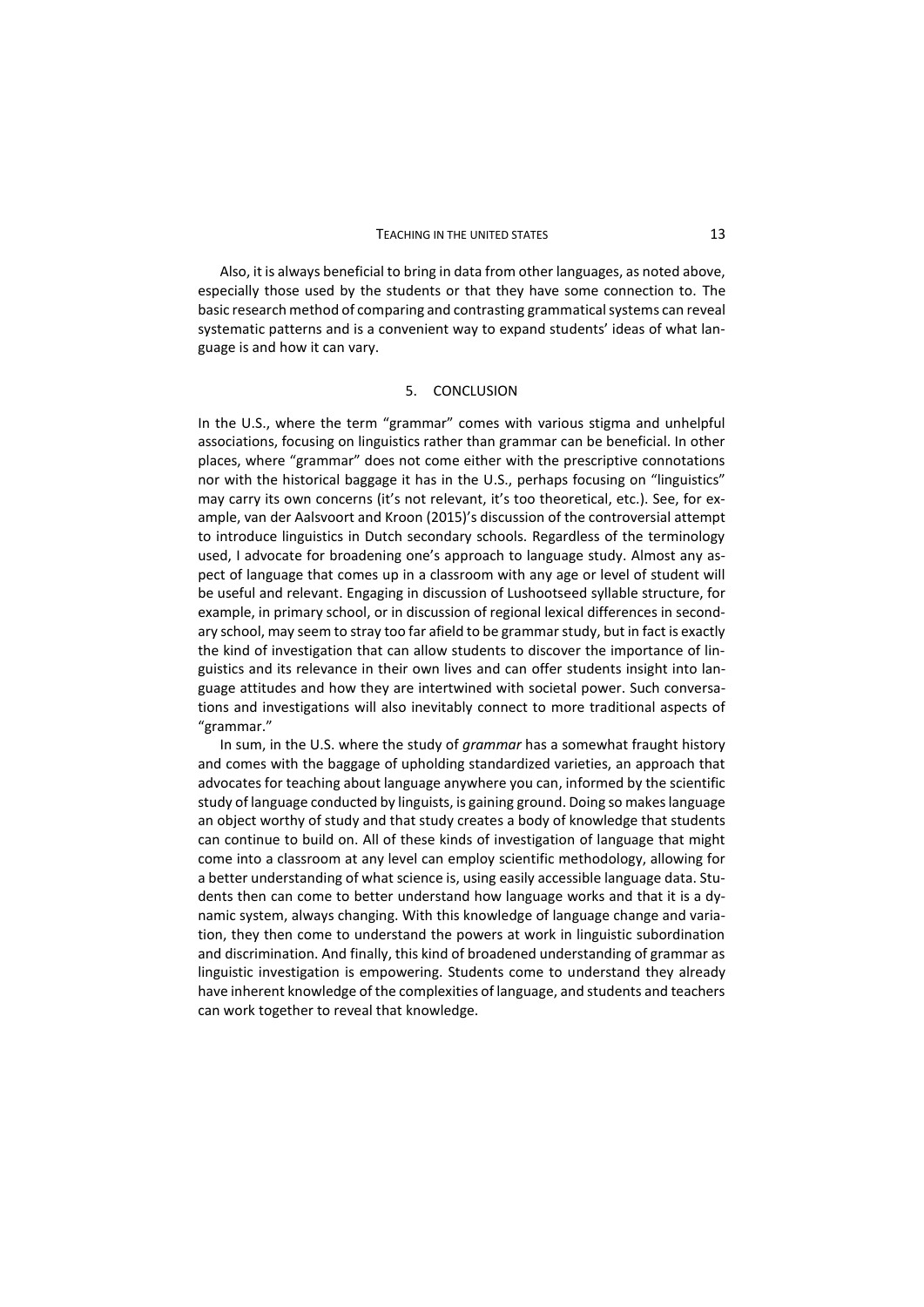Also, it is always beneficial to bring in data from other languages, as noted above, especially those used by the students or that they have some connection to. The basic research method of comparing and contrasting grammatical systems can reveal systematic patterns and is a convenient way to expand students' ideas of what language is and how it can vary.

### 5. CONCLUSION

In the U.S., where the term "grammar" comes with various stigma and unhelpful associations, focusing on linguistics rather than grammar can be beneficial. In other places, where "grammar" does not come either with the prescriptive connotations nor with the historical baggage it has in the U.S., perhaps focusing on "linguistics" may carry its own concerns (it's not relevant, it's too theoretical, etc.). See, for example, van der Aalsvoort and Kroon (2015)'s discussion of the controversial attempt to introduce linguistics in Dutch secondary schools. Regardless of the terminology used, I advocate for broadening one's approach to language study. Almost any aspect of language that comes up in a classroom with any age or level of student will be useful and relevant. Engaging in discussion of Lushootseed syllable structure, for example, in primary school, or in discussion of regional lexical differences in secondary school, may seem to stray too far afield to be grammar study, but in fact is exactly the kind of investigation that can allow students to discover the importance of linguistics and its relevance in their own lives and can offer students insight into language attitudes and how they are intertwined with societal power. Such conversations and investigations will also inevitably connect to more traditional aspects of "grammar."

In sum, in the U.S. where the study of *grammar* has a somewhat fraught history and comes with the baggage of upholding standardized varieties, an approach that advocates for teaching about language anywhere you can, informed by the scientific study of language conducted by linguists, is gaining ground. Doing so makes language an object worthy of study and that study creates a body of knowledge that students can continue to build on. All of these kinds of investigation of language that might come into a classroom at any level can employ scientific methodology, allowing for a better understanding of what science is, using easily accessible language data. Students then can come to better understand how language works and that it is a dynamic system, always changing. With this knowledge of language change and variation, they then come to understand the powers at work in linguistic subordination and discrimination. And finally, this kind of broadened understanding of grammar as linguistic investigation is empowering. Students come to understand they already have inherent knowledge of the complexities of language, and students and teachers can work together to reveal that knowledge.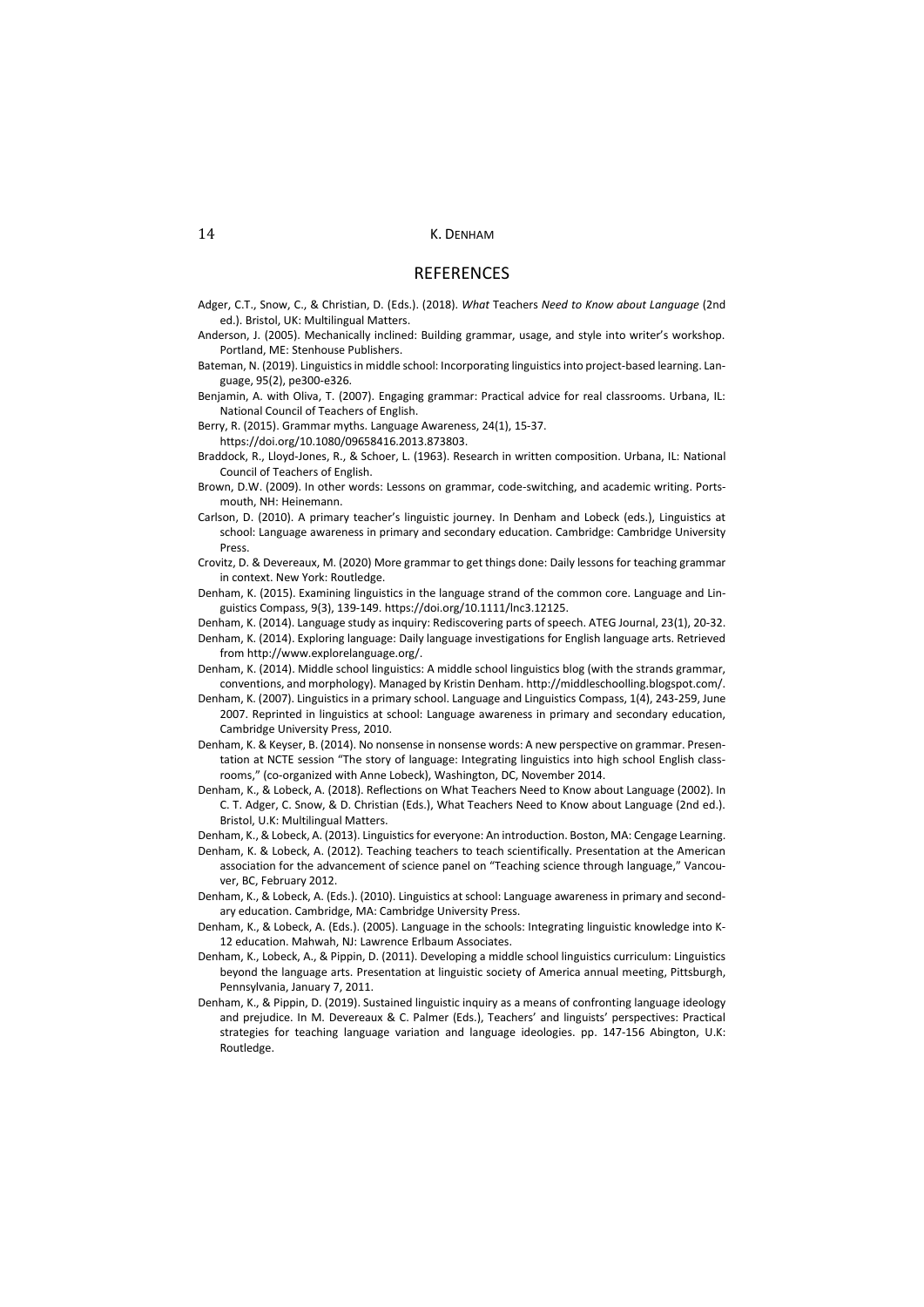#### **REFERENCES**

- Adger, C.T., Snow, C., & Christian, D. (Eds.). (2018). *What* Teachers *Need to Know about Language* (2nd ed.). Bristol, UK: Multilingual Matters.
- Anderson, J. (2005). Mechanically inclined: Building grammar, usage, and style into writer's workshop. Portland, ME: Stenhouse Publishers.
- Bateman, N. (2019). Linguistics in middle school: Incorporating linguistics into project-based learning. Language, 95(2), pe300-e326.
- Benjamin, A. with Oliva, T. (2007). Engaging grammar: Practical advice for real classrooms. Urbana, IL: National Council of Teachers of English.
- Berry, R. (2015). Grammar myths. Language Awareness, 24(1), 15-37.
- https://doi.org/10.1080/09658416.2013.873803. Braddock, R., Lloyd-Jones, R., & Schoer, L. (1963). Research in written composition. Urbana, IL: National
	- Council of Teachers of English.
- Brown, D.W. (2009). In other words: Lessons on grammar, code-switching, and academic writing. Portsmouth, NH: Heinemann.
- Carlson, D. (2010). A primary teacher's linguistic journey. In Denham and Lobeck (eds.), Linguistics at school: Language awareness in primary and secondary education. Cambridge: Cambridge University Press.
- Crovitz, D. & Devereaux, M. (2020) More grammar to get things done: Daily lessons for teaching grammar in context. New York: Routledge.
- Denham, K. (2015). Examining linguistics in the language strand of the common core. Language and Linguistics Compass, 9(3), 139-149. https://doi.org[/10.1111/lnc3.12125.](https://doi.org/10.1111/lnc3.12125)
- Denham, K. (2014). Language study as inquiry: Rediscovering parts of speech. ATEG Journal, 23(1), 20-32. Denham, K. (2014). Exploring language: Daily language investigations for English language arts. Retrieved
- from http://www.explorelanguage.org/. Denham, K. (2014). Middle school linguistics: A middle school linguistics blog (with the strands grammar,
- conventions, and morphology). Managed by Kristin Denham. http://middleschoolling.blogspot.com/.
- Denham, K. (2007). Linguistics in a primary school. Language and Linguistics Compass, 1(4), 243-259, June 2007. Reprinted in linguistics at school: Language awareness in primary and secondary education, Cambridge University Press, 2010.
- Denham, K. & Keyser, B. (2014). No nonsense in nonsense words: A new perspective on grammar. Presentation at NCTE session "The story of language: Integrating linguistics into high school English classrooms," (co-organized with Anne Lobeck), Washington, DC, November 2014.
- Denham, K., & Lobeck, A. (2018). Reflections on What Teachers Need to Know about Language (2002). In C. T. Adger, C. Snow, & D. Christian (Eds.), What Teachers Need to Know about Language (2nd ed.). Bristol, U.K: Multilingual Matters.
- Denham, K., & Lobeck, A. (2013). Linguistics for everyone: An introduction. Boston, MA: Cengage Learning.
- Denham, K. & Lobeck, A. (2012). Teaching teachers to teach scientifically. Presentation at the American association for the advancement of science panel on "Teaching science through language," Vancouver, BC, February 2012.
- Denham, K., & Lobeck, A. (Eds.). (2010). Linguistics at school: Language awareness in primary and secondary education. Cambridge, MA: Cambridge University Press.
- Denham, K., & Lobeck, A. (Eds.). (2005). Language in the schools: Integrating linguistic knowledge into K-12 education. Mahwah, NJ: Lawrence Erlbaum Associates.
- Denham, K., Lobeck, A., & Pippin, D. (2011). Developing a middle school linguistics curriculum: Linguistics beyond the language arts. Presentation at linguistic society of America annual meeting, Pittsburgh, Pennsylvania, January 7, 2011.
- Denham, K., & Pippin, D. (2019). Sustained linguistic inquiry as a means of confronting language ideology and prejudice. In M. Devereaux & C. Palmer (Eds.), Teachers' and linguists' perspectives: Practical strategies for teaching language variation and language ideologies. pp. 147-156 Abington, U.K: Routledge.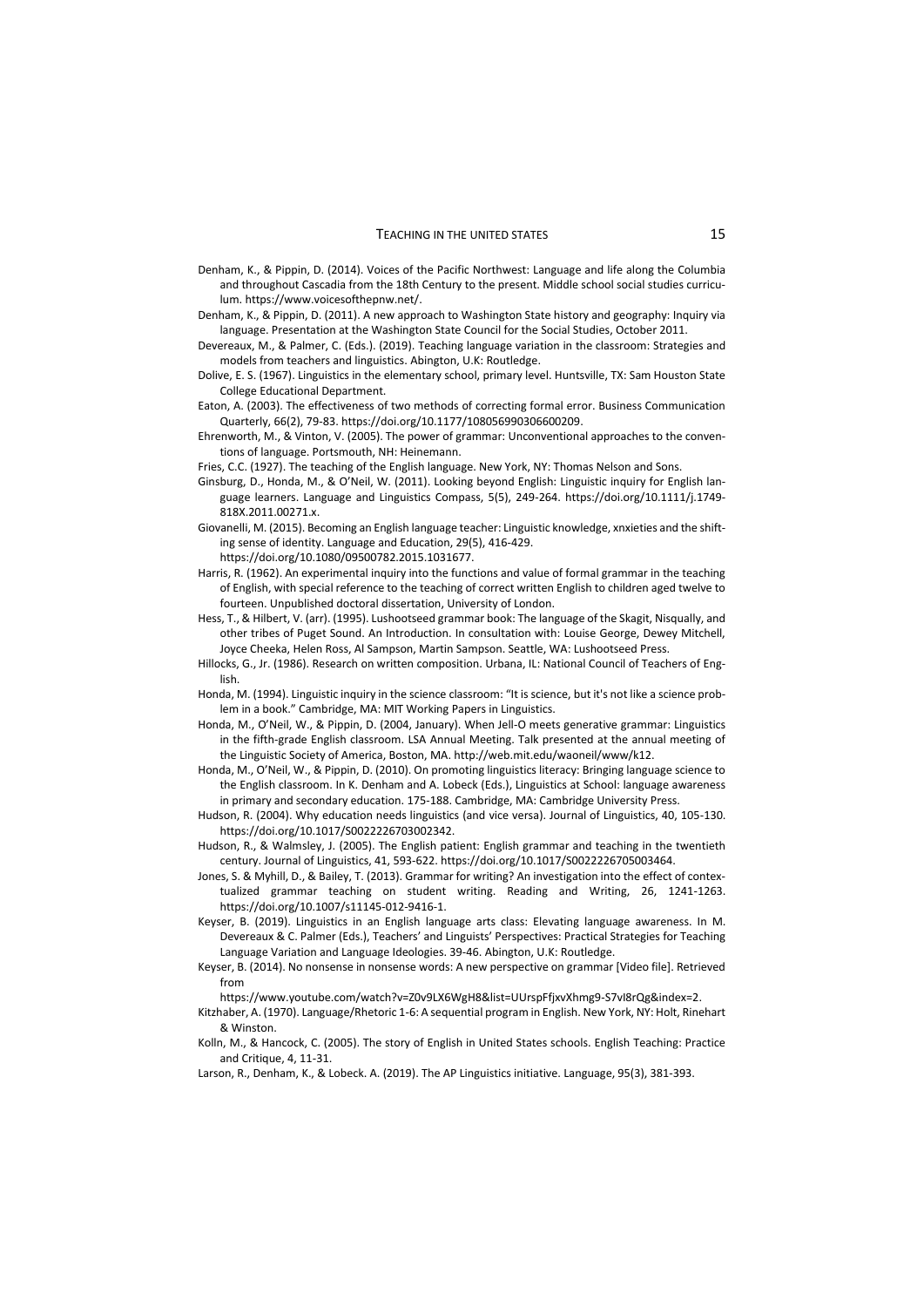#### TEACHING IN THE UNITED STATES 15

- Denham, K., & Pippin, D. (2014). Voices of the Pacific Northwest: Language and life along the Columbia and throughout Cascadia from the 18th Century to the present. Middle school social studies curriculum. https://www.voicesofthepnw.net/.
- Denham, K., & Pippin, D. (2011). A new approach to Washington State history and geography: Inquiry via language. Presentation at the Washington State Council for the Social Studies, October 2011.
- Devereaux, M., & Palmer, C. (Eds.). (2019). Teaching language variation in the classroom: Strategies and models from teachers and linguistics. Abington, U.K: Routledge.
- Dolive, E. S. (1967). Linguistics in the elementary school, primary level. Huntsville, TX: Sam Houston State College Educational Department.
- Eaton, A. (2003). The effectiveness of two methods of correcting formal error. Business Communication Quarterly, 66(2), 79-83. https://doi.org/[10.1177/108056990306600209.](https://doi.org/10.1177%2F108056990306600209)
- Ehrenworth, M., & Vinton, V. (2005). The power of grammar: Unconventional approaches to the conventions of language. Portsmouth, NH: Heinemann.
- Fries, C.C. (1927). The teaching of the English language. New York, NY: Thomas Nelson and Sons.
- Ginsburg, D., Honda, M., & O'Neil, W. (2011). Looking beyond English: Linguistic inquiry for English language learners. Language and Linguistics Compass, 5(5), 249-264. https://doi.org/10.1111/j.1749- 818X.2011.00271.x.
- Giovanelli, M. (2015). Becoming an English language teacher: Linguistic knowledge, xnxieties and the shifting sense of identity. Language and Education, 29(5), 416-429.

https://doi.org/10.1080/09500782.2015.1031677.

- Harris, R. (1962). An experimental inquiry into the functions and value of formal grammar in the teaching of English, with special reference to the teaching of correct written English to children aged twelve to fourteen. Unpublished doctoral dissertation, University of London.
- Hess, T., & Hilbert, V. (arr). (1995). Lushootseed grammar book: The language of the Skagit, Nisqually, and other tribes of Puget Sound. An Introduction. In consultation with: Louise George, Dewey Mitchell, Joyce Cheeka, Helen Ross, Al Sampson, Martin Sampson. Seattle, WA: Lushootseed Press.
- Hillocks, G., Jr. (1986). Research on written composition. Urbana, IL: National Council of Teachers of English.
- Honda, M. (1994). Linguistic inquiry in the science classroom: "It is science, but it's not like a science problem in a book." Cambridge, MA: MIT Working Papers in Linguistics.
- Honda, M., O'Neil, W., & Pippin, D. (2004, January). When Jell-O meets generative grammar: Linguistics in the fifth-grade English classroom. LSA Annual Meeting. Talk presented at the annual meeting of the Linguistic Society of America, Boston, MA. http://web.mit.edu/waoneil/www/k12.
- Honda, M., O'Neil, W., & Pippin, D. (2010). On promoting linguistics literacy: Bringing language science to the English classroom. In K. Denham and A. Lobeck (Eds.), Linguistics at School: language awareness in primary and secondary education. 175-188. Cambridge, MA: Cambridge University Press.
- Hudson, R. (2004). Why education needs linguistics (and vice versa). Journal of Linguistics, 40, 105-130. https://doi.org[/10.1017/S0022226703002342.](http://dx.doi.org/10.1017/S0022226703002342)
- Hudson, R., & Walmsley, J. (2005). The English patient: English grammar and teaching in the twentieth century. Journal of Linguistics, 41, 593-622. https://doi.org/10.1017/S0022226705003464.
- Jones, S. & Myhill, D., & Bailey, T. (2013). Grammar for writing? An investigation into the effect of contextualized grammar teaching on student writing. Reading and Writing, 26, 1241-1263. https://doi.org[/10.1007/s11145-012-9416-1.](https://doi.org/10.1007/s11145-012-9416-1)
- Keyser, B. (2019). Linguistics in an English language arts class: Elevating language awareness. In M. Devereaux & C. Palmer (Eds.), Teachers' and Linguists' Perspectives: Practical Strategies for Teaching Language Variation and Language Ideologies. 39-46. Abington, U.K: Routledge.
- Keyser, B. (2014). No nonsense in nonsense words: A new perspective on grammar [Video file]. Retrieved from

https://www.youtube.com/watch?v=Z0v9LX6WgH8&list=UUrspFfjxvXhmg9-S7vI8rQg&index=2.

- Kitzhaber, A. (1970). Language/Rhetoric 1-6: A sequential program in English. New York, NY: Holt, Rinehart & Winston.
- Kolln, M., & Hancock, C. (2005). The story of English in United States schools. English Teaching: Practice and Critique, 4, 11-31.
- Larson, R., Denham, K., & Lobeck. A. (2019). The AP Linguistics initiative. Language, 95(3), 381-393.